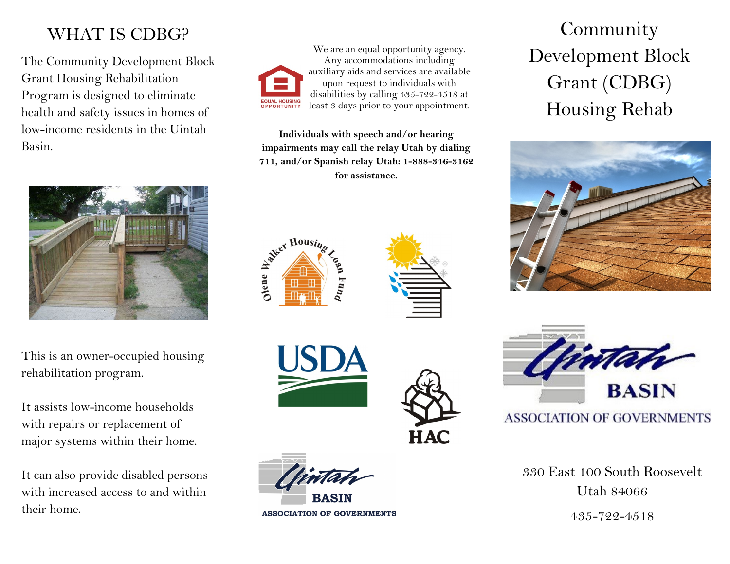# WHAT IS CDBG?

The Community Development Block Grant Housing Rehabilitation Program is designed to eliminate health and safety issues in homes of low-income residents in the Uintah Basin.



This is an owner-occupied housing rehabilitation program.

It assists low-income households with repairs or replacement of major systems within their home.

It can also provide disabled persons with increased access to and within their home.



We are an equal opportunity agency. Any accommodations including auxiliary aids and services are available upon request to individuals with disabilities by calling 435-722-4518 at least 3 days prior to your appointment.

**Individuals with speech and/or hearing impairments may call the relay Utah by dialing 711, and/or Spanish relay Utah: 1-888-346-3162 for assistance.**











**ASSOCIATION OF GOVERNMENTS** 

Community Development Block Grant (CDBG) Housing Rehab





## **ASSOCIATION OF GOVERNMENTS**

330 East 100 South Roosevelt Utah 84066

435-722-4518